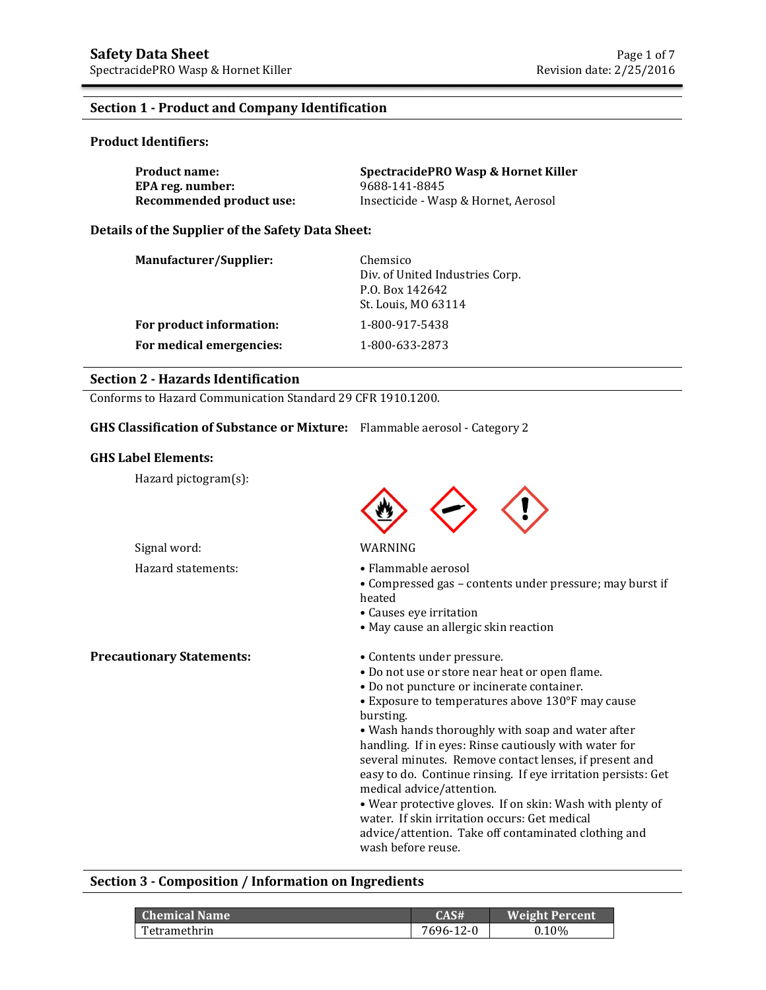#### **Section 1 - Product and Company Identification**

#### **Product Identifiers:**

| <b>Product name:</b>     | SpectracidePRO Wasp & Hornet Killer  |
|--------------------------|--------------------------------------|
| EPA reg. number:         | 9688-141-8845                        |
| Recommended product use: | Insecticide - Wasp & Hornet, Aerosol |

#### **Details of the Supplier of the Safety Data Sheet:**

| Manufacturer/Supplier:   | Chemsico<br>Div. of United Industries Corp.<br>P.O. Box 142642 |  |  |  |
|--------------------------|----------------------------------------------------------------|--|--|--|
|                          | St. Louis, MO 63114                                            |  |  |  |
| For product information: | 1-800-917-5438                                                 |  |  |  |
| For medical emergencies: | 1-800-633-2873                                                 |  |  |  |
|                          |                                                                |  |  |  |

## **Section 2 - Hazards Identification**

Conforms to Hazard Communication Standard 29 CFR 1910.1200.

#### **GHS Classification of Substance or Mixture:** Flammable aerosol - Category 2

#### **GHS Label Elements:**

Hazard pictogram(s):



#### Signal word: WARNING

- Hazard statements: • Flammable aerosol
	- Compressed gas contents under pressure; may burst if heated
	- Causes eye irritation
	- May cause an allergic skin reaction

**Precautionary Statements:** • Contents under pressure.

- Do not use or store near heat or open flame.
- Do not puncture or incinerate container.
- Exposure to temperatures above 130°F may cause bursting.

• Wash hands thoroughly with soap and water after handling. If in eyes: Rinse cautiously with water for several minutes. Remove contact lenses, if present and easy to do. Continue rinsing. If eye irritation persists: Get medical advice/attention.

• Wear protective gloves. If on skin: Wash with plenty of water. If skin irritation occurs: Get medical advice/attention. Take off contaminated clothing and wash before reuse.

#### **Section 3 - Composition / Information on Ingredients**

| <b>Chemical Name</b> | CAS#      | <b>Weight Percent</b> |
|----------------------|-----------|-----------------------|
| Tetramethrin         | 7696-12-0 | $0.10\%$              |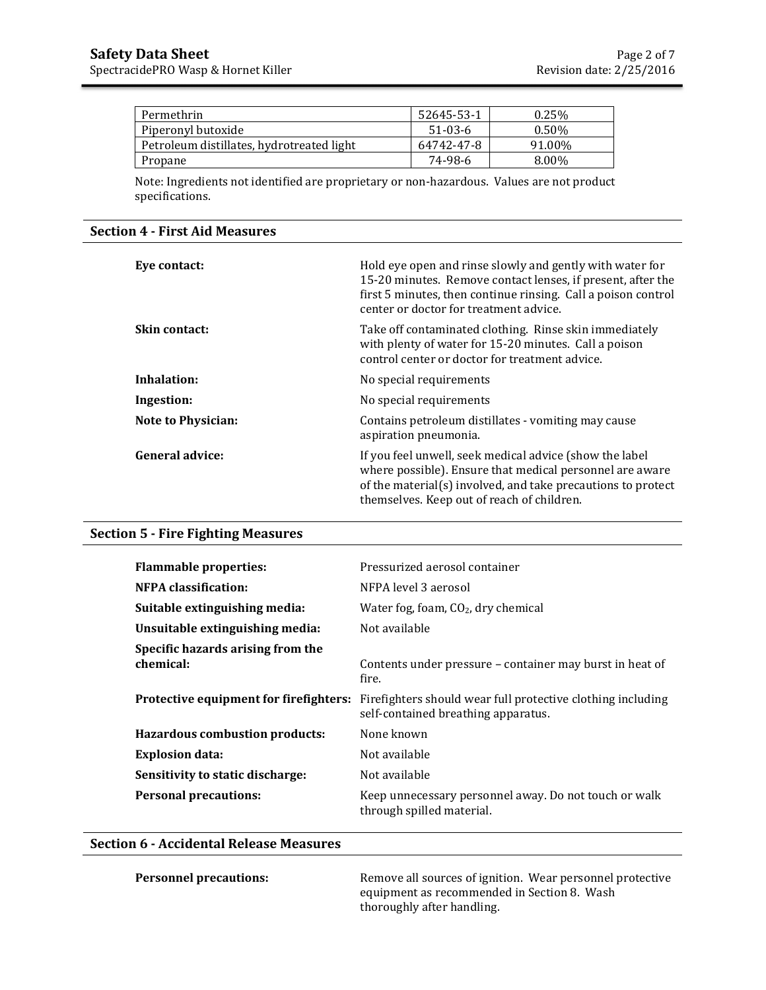| Permethrin                                | 52645-53-1 | 0.25%    |
|-------------------------------------------|------------|----------|
| Piperonyl butoxide                        | $51-03-6$  | $0.50\%$ |
| Petroleum distillates, hydrotreated light | 64742-47-8 | 91.00%   |
| Propane                                   | 74-98-6    | 8.00%    |

Note: Ingredients not identified are proprietary or non-hazardous. Values are not product specifications.

#### **Section 4 - First Aid Measures**

| Eye contact:              | Hold eye open and rinse slowly and gently with water for<br>15-20 minutes. Remove contact lenses, if present, after the<br>first 5 minutes, then continue rinsing. Call a poison control<br>center or doctor for treatment advice. |
|---------------------------|------------------------------------------------------------------------------------------------------------------------------------------------------------------------------------------------------------------------------------|
| <b>Skin contact:</b>      | Take off contaminated clothing. Rinse skin immediately<br>with plenty of water for 15-20 minutes. Call a poison<br>control center or doctor for treatment advice.                                                                  |
| Inhalation:               | No special requirements                                                                                                                                                                                                            |
| Ingestion:                | No special requirements                                                                                                                                                                                                            |
| <b>Note to Physician:</b> | Contains petroleum distillates - vomiting may cause<br>aspiration pneumonia.                                                                                                                                                       |
| <b>General advice:</b>    | If you feel unwell, seek medical advice (show the label<br>where possible). Ensure that medical personnel are aware<br>of the material(s) involved, and take precautions to protect<br>themselves. Keep out of reach of children.  |

# **Section 5 - Fire Fighting Measures**

| <b>Flammable properties:</b>                   | Pressurized aerosol container                                                                      |
|------------------------------------------------|----------------------------------------------------------------------------------------------------|
| <b>NFPA</b> classification:                    | NFPA level 3 aerosol                                                                               |
| Suitable extinguishing media:                  | Water fog, foam, $CO2$ , dry chemical                                                              |
| Unsuitable extinguishing media:                | Not available                                                                                      |
| Specific hazards arising from the<br>chemical: | Contents under pressure – container may burst in heat of<br>fire.                                  |
| Protective equipment for firefighters:         | Firefighters should wear full protective clothing including<br>self-contained breathing apparatus. |
| <b>Hazardous combustion products:</b>          | None known                                                                                         |
| <b>Explosion data:</b>                         | Not available                                                                                      |
| Sensitivity to static discharge:               | Not available                                                                                      |
| <b>Personal precautions:</b>                   | Keep unnecessary personnel away. Do not touch or walk<br>through spilled material.                 |

## **Section 6 - Accidental Release Measures**

**Personnel precautions: Remove all sources of ignition. Wear personnel protective** equipment as recommended in Section 8. Wash thoroughly after handling.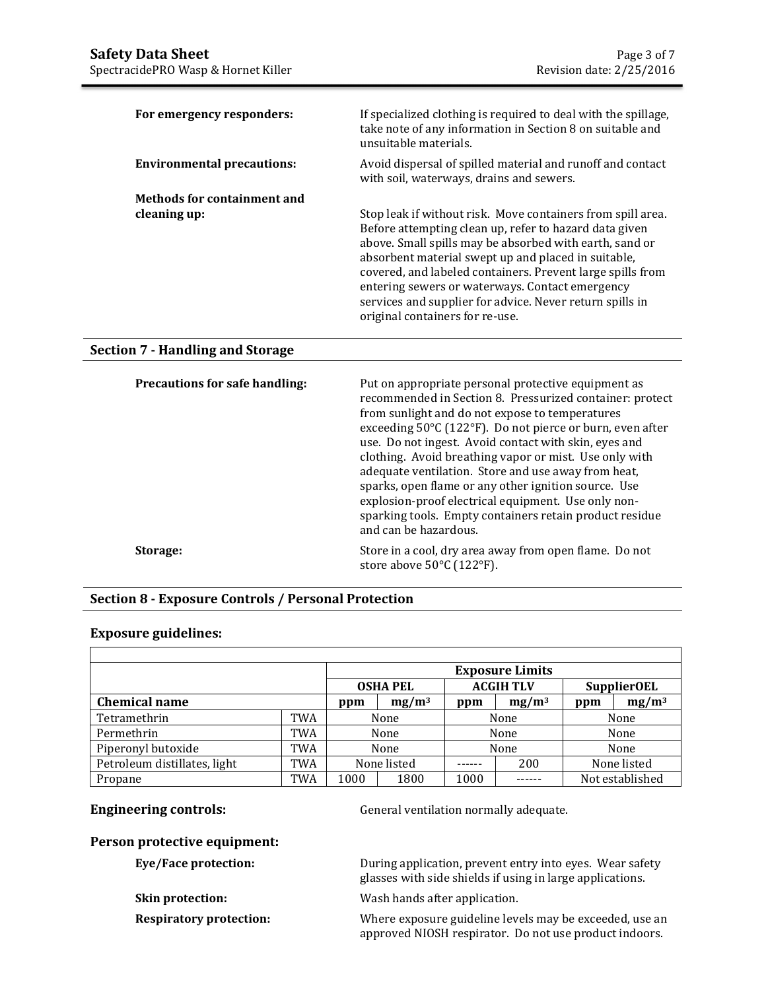| For emergency responders:         | If specialized clothing is required to deal with the spillage,<br>take note of any information in Section 8 on suitable and<br>unsuitable materials.                                                                                                                                                                                                                                                                                                    |
|-----------------------------------|---------------------------------------------------------------------------------------------------------------------------------------------------------------------------------------------------------------------------------------------------------------------------------------------------------------------------------------------------------------------------------------------------------------------------------------------------------|
| <b>Environmental precautions:</b> | Avoid dispersal of spilled material and runoff and contact<br>with soil, waterways, drains and sewers.                                                                                                                                                                                                                                                                                                                                                  |
| Methods for containment and       |                                                                                                                                                                                                                                                                                                                                                                                                                                                         |
| cleaning up:                      | Stop leak if without risk. Move containers from spill area.<br>Before attempting clean up, refer to hazard data given<br>above. Small spills may be absorbed with earth, sand or<br>absorbent material swept up and placed in suitable,<br>covered, and labeled containers. Prevent large spills from<br>entering sewers or waterways. Contact emergency<br>services and supplier for advice. Never return spills in<br>original containers for re-use. |

## **Section 7 - Handling and Storage**

| <b>Precautions for safe handling:</b> | Put on appropriate personal protective equipment as<br>recommended in Section 8. Pressurized container: protect<br>from sunlight and do not expose to temperatures<br>exceeding 50°C (122°F). Do not pierce or burn, even after<br>use. Do not ingest. Avoid contact with skin, eyes and<br>clothing. Avoid breathing vapor or mist. Use only with<br>adequate ventilation. Store and use away from heat,<br>sparks, open flame or any other ignition source. Use<br>explosion-proof electrical equipment. Use only non-<br>sparking tools. Empty containers retain product residue<br>and can be hazardous. |
|---------------------------------------|--------------------------------------------------------------------------------------------------------------------------------------------------------------------------------------------------------------------------------------------------------------------------------------------------------------------------------------------------------------------------------------------------------------------------------------------------------------------------------------------------------------------------------------------------------------------------------------------------------------|
| Storage:                              | Store in a cool, dry area away from open flame. Do not<br>store above $50^{\circ}$ C (122 $^{\circ}$ F).                                                                                                                                                                                                                                                                                                                                                                                                                                                                                                     |

# **Section 8 - Exposure Controls / Personal Protection**

# **Exposure guidelines:**

|                              |     | <b>Exposure Limits</b>              |  |                    |          |                 |             |
|------------------------------|-----|-------------------------------------|--|--------------------|----------|-----------------|-------------|
|                              |     | <b>ACGIH TLV</b><br><b>OSHA PEL</b> |  | <b>SupplierOEL</b> |          |                 |             |
| <b>Chemical name</b>         |     | $mg/m^3$<br>ppm                     |  | ppm                | $mg/m^3$ | ppm             | $mg/m^3$    |
| Tetramethrin                 | TWA | None                                |  | None               |          | None            |             |
| Permethrin                   | TWA | None                                |  | None               |          |                 | None        |
| Piperonyl butoxide           | TWA | None                                |  | None               |          |                 | None        |
| Petroleum distillates, light | TWA | None listed                         |  |                    | 200      |                 | None listed |
| Propane                      | TWA | 1000<br>1800                        |  | 1000               |          | Not established |             |

**Engineering controls: General ventilation normally adequate.** 

# **Person protective equipment:**

| Eye/Face protection:           | During application, prevent entry into eyes. Wear safety<br>glasses with side shields if using in large applications. |
|--------------------------------|-----------------------------------------------------------------------------------------------------------------------|
| <b>Skin protection:</b>        | Wash hands after application.                                                                                         |
| <b>Respiratory protection:</b> | Where exposure guideline levels may be exceeded, use an<br>approved NIOSH respirator. Do not use product indoors.     |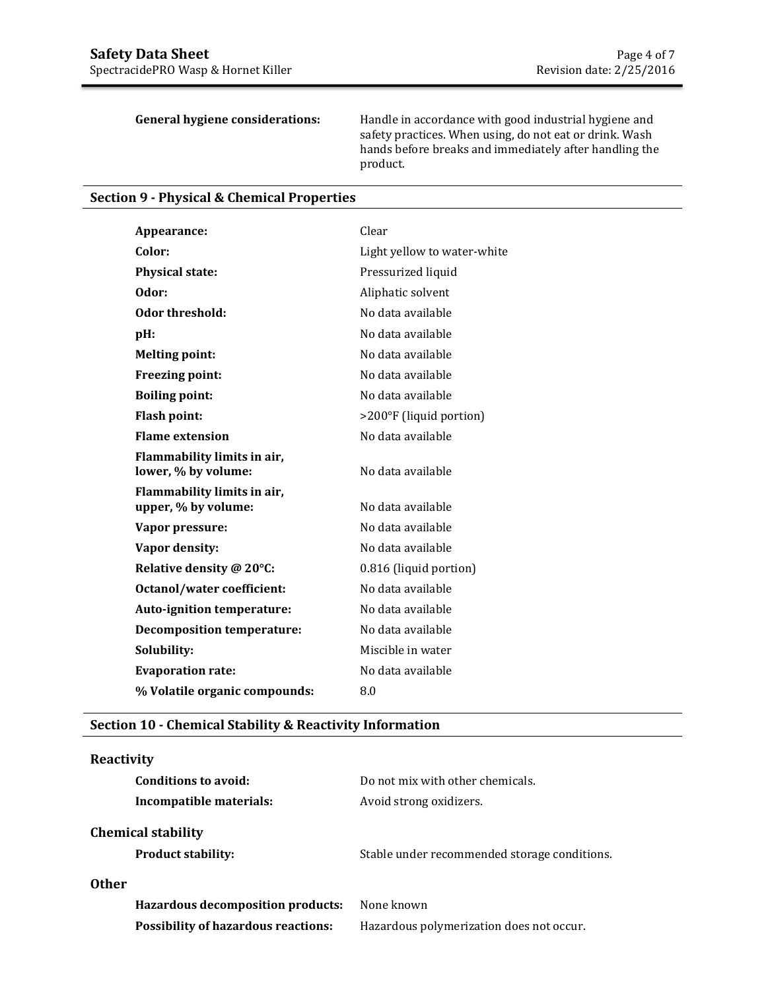**General hygiene considerations:** Handle in accordance with good industrial hygiene and safety practices. When using, do not eat or drink. Wash hands before breaks and immediately after handling the product.

## **Section 9 - Physical & Chemical Properties**

| Appearance:                                        | Clear                       |
|----------------------------------------------------|-----------------------------|
| Color:                                             | Light yellow to water-white |
| <b>Physical state:</b>                             | Pressurized liquid          |
| Odor:                                              | Aliphatic solvent           |
| Odor threshold:                                    | No data available           |
| pH:                                                | No data available           |
| <b>Melting point:</b>                              | No data available           |
| Freezing point:                                    | No data available           |
| <b>Boiling point:</b>                              | No data available           |
| <b>Flash point:</b>                                | >200°F (liquid portion)     |
| <b>Flame extension</b>                             | No data available           |
| Flammability limits in air,<br>lower, % by volume: | No data available           |
| Flammability limits in air,<br>upper, % by volume: | No data available           |
| Vapor pressure:                                    | No data available           |
| Vapor density:                                     | No data available           |
| Relative density @ 20°C:                           | 0.816 (liquid portion)      |
| <b>Octanol/water coefficient:</b>                  | No data available           |
| Auto-ignition temperature:                         | No data available           |
| <b>Decomposition temperature:</b>                  | No data available           |
| Solubility:                                        | Miscible in water           |
| <b>Evaporation rate:</b>                           | No data available           |
| % Volatile organic compounds:                      | 8.0                         |
|                                                    |                             |

# **Section 10 - Chemical Stability & Reactivity Information**

# **Reactivity**

| Conditions to avoid:                       | Do not mix with other chemicals.             |
|--------------------------------------------|----------------------------------------------|
| Incompatible materials:                    | Avoid strong oxidizers.                      |
| <b>Chemical stability</b>                  |                                              |
| <b>Product stability:</b>                  | Stable under recommended storage conditions. |
| 0ther                                      |                                              |
| <b>Hazardous decomposition products:</b>   | None known                                   |
| <b>Possibility of hazardous reactions:</b> | Hazardous polymerization does not occur.     |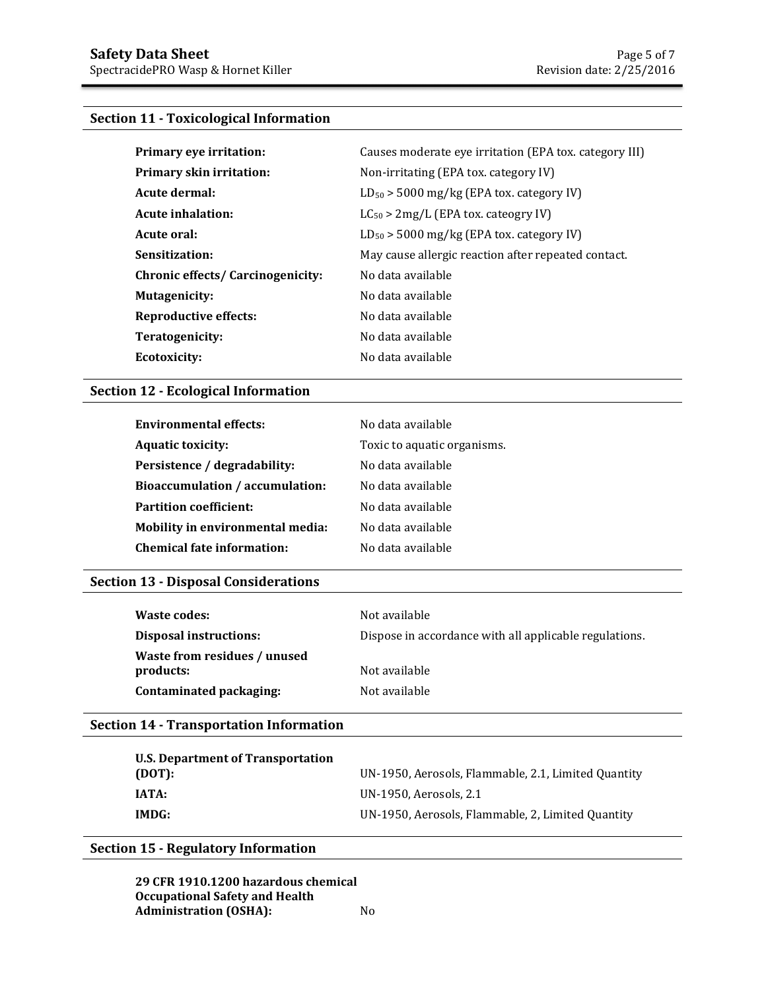# **Section 11 - Toxicological Information**

| Primary eye irritation:                  | Causes moderate eye irritation (EPA tox. category III) |
|------------------------------------------|--------------------------------------------------------|
| <b>Primary skin irritation:</b>          | Non-irritating (EPA tox. category IV)                  |
| Acute dermal:                            | $LD_{50}$ > 5000 mg/kg (EPA tox. category IV)          |
| <b>Acute inhalation:</b>                 | $LC_{50}$ > 2mg/L (EPA tox. cateogry IV)               |
| Acute oral:                              | $LD_{50}$ > 5000 mg/kg (EPA tox. category IV)          |
| Sensitization:                           | May cause allergic reaction after repeated contact.    |
| <b>Chronic effects/ Carcinogenicity:</b> | No data available                                      |
| Mutagenicity:                            | No data available                                      |
| <b>Reproductive effects:</b>             | No data available                                      |
| Teratogenicity:                          | No data available                                      |
| Ecotoxicity:                             | No data available                                      |

## **Section 12 - Ecological Information**

| <b>Environmental effects:</b>           | No data available           |
|-----------------------------------------|-----------------------------|
| <b>Aquatic toxicity:</b>                | Toxic to aquatic organisms. |
| Persistence / degradability:            | No data available           |
| Bioaccumulation / accumulation:         | No data available           |
| <b>Partition coefficient:</b>           | No data available           |
| <b>Mobility in environmental media:</b> | No data available           |
| <b>Chemical fate information:</b>       | No data available           |

### **Section 13 - Disposal Considerations**

| Waste codes:                              | Not available                                          |
|-------------------------------------------|--------------------------------------------------------|
| <b>Disposal instructions:</b>             | Dispose in accordance with all applicable regulations. |
| Waste from residues / unused<br>products: | Not available                                          |
| Contaminated packaging:                   | Not available                                          |

# **Section 14 - Transportation Information**

| U.S. Department of Transportation |                                                     |
|-----------------------------------|-----------------------------------------------------|
| (DOT):                            | UN-1950, Aerosols, Flammable, 2.1, Limited Quantity |
| <b>IATA:</b>                      | UN-1950, Aerosols, 2.1                              |
| IMDG:                             | UN-1950, Aerosols, Flammable, 2, Limited Quantity   |

### **Section 15 - Regulatory Information**

**29 CFR 1910.1200 hazardous chemical Occupational Safety and Health Administration (OSHA):** No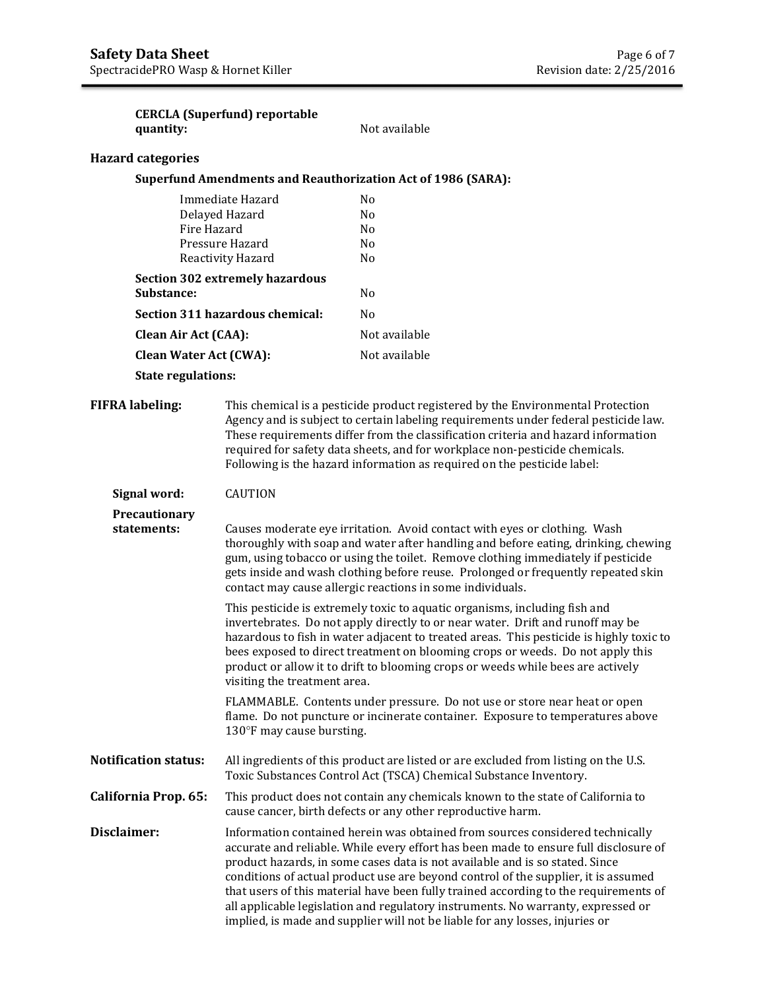| quantity:                     | <b>CERCLA (Superfund) reportable</b>                                                                                                                                                                                                                                                                                                                                                                                  | Not available                                                                                                                                                                                                                                                                                                                                                                                                                                                                                                                                                                                           |
|-------------------------------|-----------------------------------------------------------------------------------------------------------------------------------------------------------------------------------------------------------------------------------------------------------------------------------------------------------------------------------------------------------------------------------------------------------------------|---------------------------------------------------------------------------------------------------------------------------------------------------------------------------------------------------------------------------------------------------------------------------------------------------------------------------------------------------------------------------------------------------------------------------------------------------------------------------------------------------------------------------------------------------------------------------------------------------------|
| <b>Hazard categories</b>      |                                                                                                                                                                                                                                                                                                                                                                                                                       |                                                                                                                                                                                                                                                                                                                                                                                                                                                                                                                                                                                                         |
|                               |                                                                                                                                                                                                                                                                                                                                                                                                                       | <b>Superfund Amendments and Reauthorization Act of 1986 (SARA):</b>                                                                                                                                                                                                                                                                                                                                                                                                                                                                                                                                     |
|                               | Immediate Hazard<br>Delayed Hazard<br>Fire Hazard<br>Pressure Hazard<br>Reactivity Hazard                                                                                                                                                                                                                                                                                                                             | N <sub>0</sub><br>No<br>No<br>No<br>No                                                                                                                                                                                                                                                                                                                                                                                                                                                                                                                                                                  |
| Substance:                    | <b>Section 302 extremely hazardous</b>                                                                                                                                                                                                                                                                                                                                                                                | No                                                                                                                                                                                                                                                                                                                                                                                                                                                                                                                                                                                                      |
|                               | Section 311 hazardous chemical:                                                                                                                                                                                                                                                                                                                                                                                       | N <sub>0</sub>                                                                                                                                                                                                                                                                                                                                                                                                                                                                                                                                                                                          |
| <b>Clean Air Act (CAA):</b>   |                                                                                                                                                                                                                                                                                                                                                                                                                       | Not available                                                                                                                                                                                                                                                                                                                                                                                                                                                                                                                                                                                           |
| <b>Clean Water Act (CWA):</b> |                                                                                                                                                                                                                                                                                                                                                                                                                       | Not available                                                                                                                                                                                                                                                                                                                                                                                                                                                                                                                                                                                           |
| <b>State regulations:</b>     |                                                                                                                                                                                                                                                                                                                                                                                                                       |                                                                                                                                                                                                                                                                                                                                                                                                                                                                                                                                                                                                         |
| <b>FIFRA labeling:</b>        | This chemical is a pesticide product registered by the Environmental Protection<br>Agency and is subject to certain labeling requirements under federal pesticide law.<br>These requirements differ from the classification criteria and hazard information<br>required for safety data sheets, and for workplace non-pesticide chemicals.<br>Following is the hazard information as required on the pesticide label: |                                                                                                                                                                                                                                                                                                                                                                                                                                                                                                                                                                                                         |
| Signal word:                  | <b>CAUTION</b>                                                                                                                                                                                                                                                                                                                                                                                                        |                                                                                                                                                                                                                                                                                                                                                                                                                                                                                                                                                                                                         |
| Precautionary<br>statements:  | Causes moderate eye irritation. Avoid contact with eyes or clothing. Wash<br>thoroughly with soap and water after handling and before eating, drinking, chewing<br>gum, using tobacco or using the toilet. Remove clothing immediately if pesticide<br>gets inside and wash clothing before reuse. Prolonged or frequently repeated skin<br>contact may cause allergic reactions in some individuals.                 |                                                                                                                                                                                                                                                                                                                                                                                                                                                                                                                                                                                                         |
|                               | visiting the treatment area.                                                                                                                                                                                                                                                                                                                                                                                          | This pesticide is extremely toxic to aquatic organisms, including fish and<br>invertebrates. Do not apply directly to or near water. Drift and runoff may be<br>hazardous to fish in water adjacent to treated areas. This pesticide is highly toxic to<br>bees exposed to direct treatment on blooming crops or weeds. Do not apply this<br>product or allow it to drift to blooming crops or weeds while bees are actively                                                                                                                                                                            |
|                               | 130°F may cause bursting.                                                                                                                                                                                                                                                                                                                                                                                             | FLAMMABLE. Contents under pressure. Do not use or store near heat or open<br>flame. Do not puncture or incinerate container. Exposure to temperatures above                                                                                                                                                                                                                                                                                                                                                                                                                                             |
| <b>Notification status:</b>   | All ingredients of this product are listed or are excluded from listing on the U.S.<br>Toxic Substances Control Act (TSCA) Chemical Substance Inventory.                                                                                                                                                                                                                                                              |                                                                                                                                                                                                                                                                                                                                                                                                                                                                                                                                                                                                         |
| California Prop. 65:          | This product does not contain any chemicals known to the state of California to<br>cause cancer, birth defects or any other reproductive harm.                                                                                                                                                                                                                                                                        |                                                                                                                                                                                                                                                                                                                                                                                                                                                                                                                                                                                                         |
| Disclaimer:                   |                                                                                                                                                                                                                                                                                                                                                                                                                       | Information contained herein was obtained from sources considered technically<br>accurate and reliable. While every effort has been made to ensure full disclosure of<br>product hazards, in some cases data is not available and is so stated. Since<br>conditions of actual product use are beyond control of the supplier, it is assumed<br>that users of this material have been fully trained according to the requirements of<br>all applicable legislation and regulatory instruments. No warranty, expressed or<br>implied, is made and supplier will not be liable for any losses, injuries or |